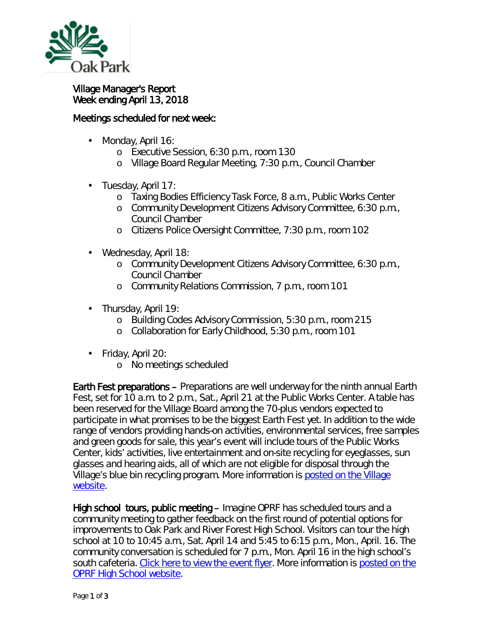

## Village Manager's Report Week ending April 13, 2018

## Meetings scheduled for next week:

- Monday, April 16: ä,
	- o Executive Session, 6:30 p.m., room 130
	- o Village Board Regular Meeting, 7:30 p.m., Council Chamber
- . Tuesday, April 17:
	- o Taxing Bodies Efficiency Task Force, 8 a.m., Public Works Center
	- o Community Development Citizens Advisory Committee, 6:30 p.m., Council Chamber
	- o Citizens Police Oversight Committee, 7:30 p.m., room 102
- Wednesday, April 18:  $\mathbf{r}^{\prime}$ 
	- o Community Development Citizens Advisory Committee, 6:30 p.m., Council Chamber
	- o Community Relations Commission, 7 p.m., room 101
- . Thursday, April 19:
	- o Building Codes Advisory Commission, 5:30 p.m., room 215
	- o Collaboration for Early Childhood, 5:30 p.m., room 101
- Friday, April 20:
	- o No meetings scheduled

Earth Fest preparations – Preparations are well underway for the ninth annual Earth Fest, set for 10 a.m. to 2 p.m., Sat., April 21 at the Public Works Center. A table has been reserved for the Village Board among the 70-plus vendors expected to participate in what promises to be the biggest Earth Fest yet. In addition to the wide range of vendors providing hands-on activities, environmental services, free samples and green goods for sale, this year's event will include tours of the Public Works Center, kids' activities, live entertainment and on-site recycling for eyeglasses, sun glasses and hearing aids, all of which are not eligible for disposal through the Village's blue bin recycling program. More information is posted on the Village [website.](https://www.oak-park.us/news/earth-fest-offers-fun-all-ages)

High school tours, public meeting – Imagine OPRF has scheduled tours and a community meeting to gather feedback on the first round of potential options for improvements to Oak Park and River Forest High School. Visitors can tour the high school at 10 to 10:45 a.m., Sat. April 14 and 5:45 to 6:15 p.m., Mon., April. 16. The community conversation is scheduled for 7 p.m., Mon. April 16 in the high school's south cafeteria. [Click here to view the event flyer.](https://www.oak-park.us/sites/default/files/456678891/2018-04-12-imagine-op-event-flyer.pdf) More information is [posted on the](http://www.oprfhs.org/about/Community-Engagement-Session-Updates.cfm)  [OPRF High School website.](http://www.oprfhs.org/about/Community-Engagement-Session-Updates.cfm)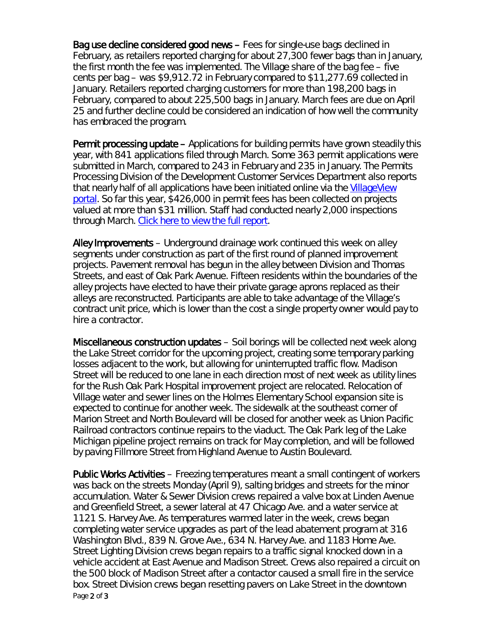Bag use decline considered good news – Fees for single-use bags declined in February, as retailers reported charging for about 27,300 fewer bags than in January, the first month the fee was implemented. The Village share of the bag fee – five cents per bag – was \$9,912.72 in February compared to \$11,277.69 collected in January. Retailers reported charging customers for more than 198,200 bags in February, compared to about 225,500 bags in January. March fees are due on April 25 and further decline could be considered an indication of how well the community has embraced the program.

Permit processing update – Applications for building permits have grown steadily this year, with 841 applications filed through March. Some 363 permit applications were submitted in March, compared to 243 in February and 235 in January. The Permits Processing Division of the Development Customer Services Department also reports that nearly half of all applications have been initiated online via the [VillageView](https://villageview.oak-park.us/CityViewPortal)  [portal.](https://villageview.oak-park.us/CityViewPortal) So far this year, \$426,000 in permit fees has been collected on projects valued at more than \$31 million. Staff had conducted nearly 2,000 inspections through March. [Click here to view the full report.](https://www.oak-park.us/sites/default/files/456678891/2018-jan-march-permitp-rocessing-report.pdf)

Alley Improvements – Underground drainage work continued this week on alley segments under construction as part of the first round of planned improvement projects. Pavement removal has begun in the alley between Division and Thomas Streets, and east of Oak Park Avenue. Fifteen residents within the boundaries of the alley projects have elected to have their private garage aprons replaced as their alleys are reconstructed. Participants are able to take advantage of the Village's contract unit price, which is lower than the cost a single property owner would pay to hire a contractor.

Miscellaneous construction updates – Soil borings will be collected next week along the Lake Street corridor for the upcoming project, creating some temporary parking losses adjacent to the work, but allowing for uninterrupted traffic flow. Madison Street will be reduced to one lane in each direction most of next week as utility lines for the Rush Oak Park Hospital improvement project are relocated. Relocation of Village water and sewer lines on the Holmes Elementary School expansion site is expected to continue for another week. The sidewalk at the southeast corner of Marion Street and North Boulevard will be closed for another week as Union Pacific Railroad contractors continue repairs to the viaduct. The Oak Park leg of the Lake Michigan pipeline project remains on track for May completion, and will be followed by paving Fillmore Street from Highland Avenue to Austin Boulevard.

Page 2 of 3 Public Works Activities – Freezing temperatures meant a small contingent of workers was back on the streets Monday (April 9), salting bridges and streets for the minor accumulation. Water & Sewer Division crews repaired a valve box at Linden Avenue and Greenfield Street, a sewer lateral at 47 Chicago Ave. and a water service at 1121 S. Harvey Ave. As temperatures warmed later in the week, crews began completing water service upgrades as part of the lead abatement program at 316 Washington Blvd., 839 N. Grove Ave., 634 N. Harvey Ave. and 1183 Home Ave. Street Lighting Division crews began repairs to a traffic signal knocked down in a vehicle accident at East Avenue and Madison Street. Crews also repaired a circuit on the 500 block of Madison Street after a contactor caused a small fire in the service box. Street Division crews began resetting pavers on Lake Street in the downtown